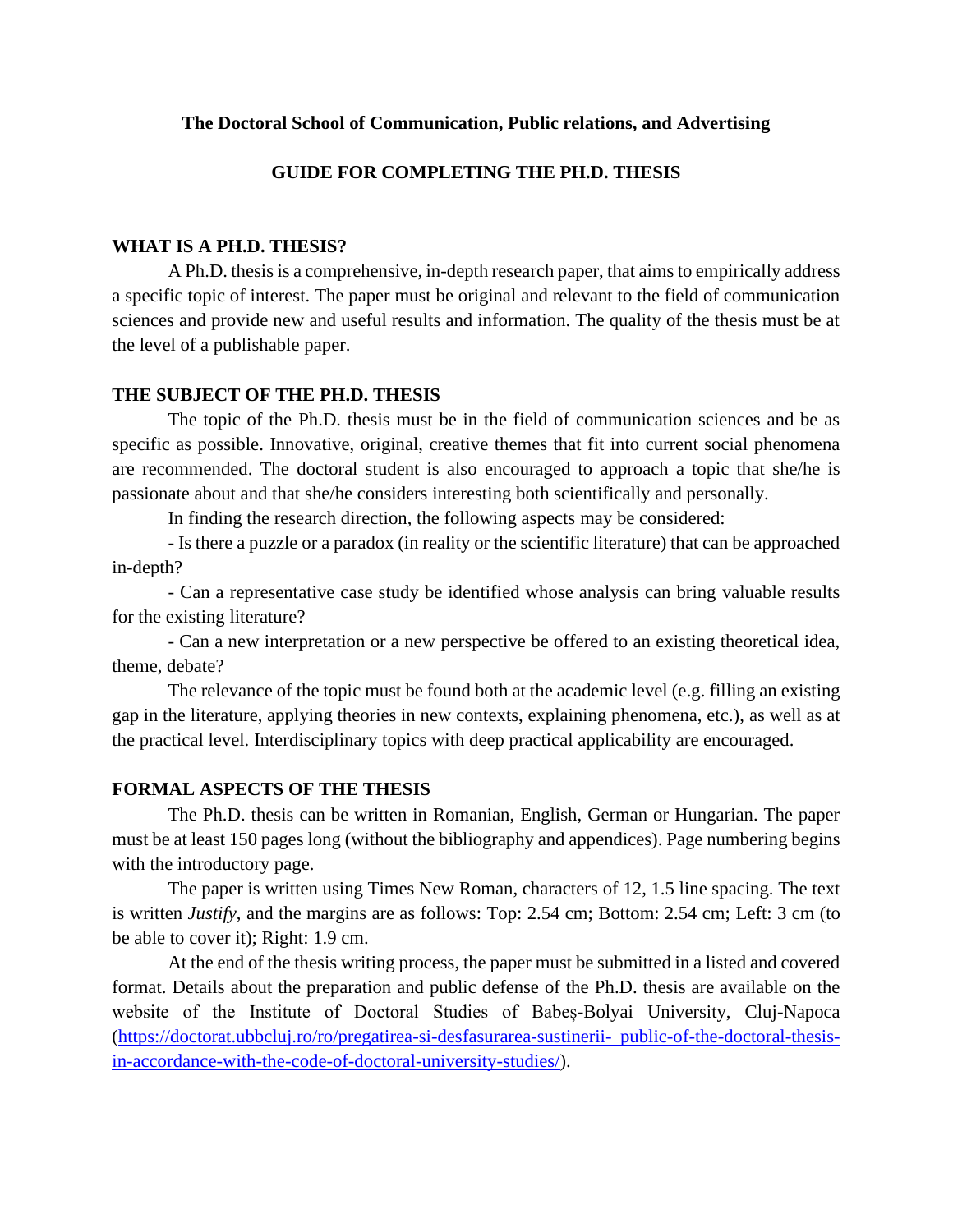# **The Doctoral School of Communication, Public relations, and Advertising**

# **GUIDE FOR COMPLETING THE PH.D. THESIS**

# **WHAT IS A PH.D. THESIS?**

A Ph.D. thesisis a comprehensive, in-depth research paper, that aims to empirically address a specific topic of interest. The paper must be original and relevant to the field of communication sciences and provide new and useful results and information. The quality of the thesis must be at the level of a publishable paper.

# **THE SUBJECT OF THE PH.D. THESIS**

The topic of the Ph.D. thesis must be in the field of communication sciences and be as specific as possible. Innovative, original, creative themes that fit into current social phenomena are recommended. The doctoral student is also encouraged to approach a topic that she/he is passionate about and that she/he considers interesting both scientifically and personally.

In finding the research direction, the following aspects may be considered:

- Is there a puzzle or a paradox (in reality or the scientific literature) that can be approached in-depth?

- Can a representative case study be identified whose analysis can bring valuable results for the existing literature?

- Can a new interpretation or a new perspective be offered to an existing theoretical idea, theme, debate?

The relevance of the topic must be found both at the academic level (e.g. filling an existing gap in the literature, applying theories in new contexts, explaining phenomena, etc.), as well as at the practical level. Interdisciplinary topics with deep practical applicability are encouraged.

# **FORMAL ASPECTS OF THE THESIS**

The Ph.D. thesis can be written in Romanian, English, German or Hungarian. The paper must be at least 150 pages long (without the bibliography and appendices). Page numbering begins with the introductory page.

The paper is written using Times New Roman, characters of 12, 1.5 line spacing. The text is written *Justify*, and the margins are as follows: Top: 2.54 cm; Bottom: 2.54 cm; Left: 3 cm (to be able to cover it); Right: 1.9 cm.

At the end of the thesis writing process, the paper must be submitted in a listed and covered format. Details about the preparation and public defense of the Ph.D. thesis are available on the website of the Institute of Doctoral Studies of Babeș-Bolyai University, Cluj-Napoca [\(https://doctorat.ubbcluj.ro/ro/pregatirea-si-desfasurarea-sustinerii-](https://doctorat.ubbcluj.ro/ro/pregatirea-si-desfasurarea-sustinerii-%20public-of-the-doctoral-thesis-in-accordance-with-the-code-of-doctoral-university-studies/) public-of-the-doctoral-thesis[in-accordance-with-the-code-of-doctoral-university-studies/\)](https://doctorat.ubbcluj.ro/ro/pregatirea-si-desfasurarea-sustinerii-%20public-of-the-doctoral-thesis-in-accordance-with-the-code-of-doctoral-university-studies/).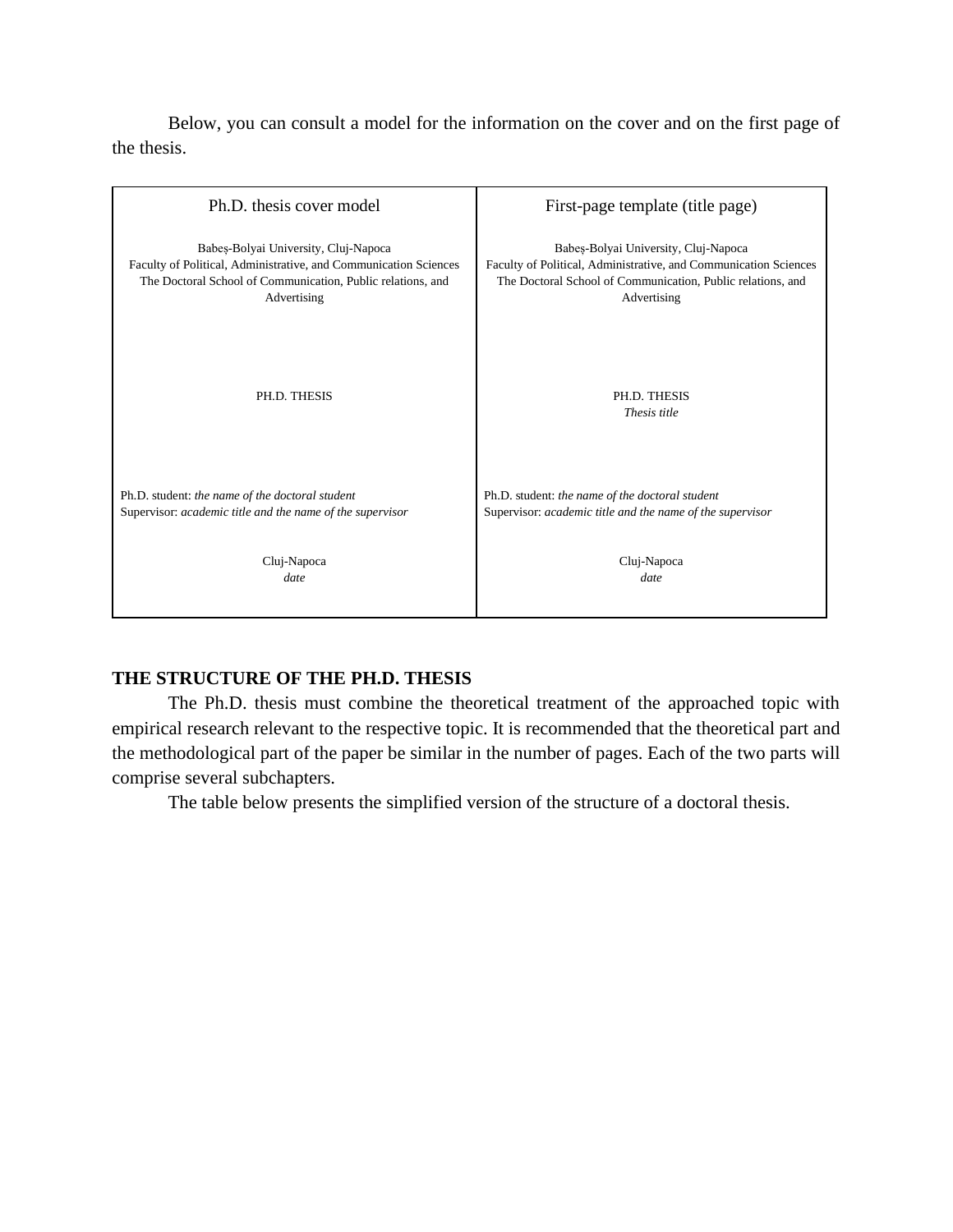Below, you can consult a model for the information on the cover and on the first page of the thesis.



# **THE STRUCTURE OF THE PH.D. THESIS**

The Ph.D. thesis must combine the theoretical treatment of the approached topic with empirical research relevant to the respective topic. It is recommended that the theoretical part and the methodological part of the paper be similar in the number of pages. Each of the two parts will comprise several subchapters.

The table below presents the simplified version of the structure of a doctoral thesis.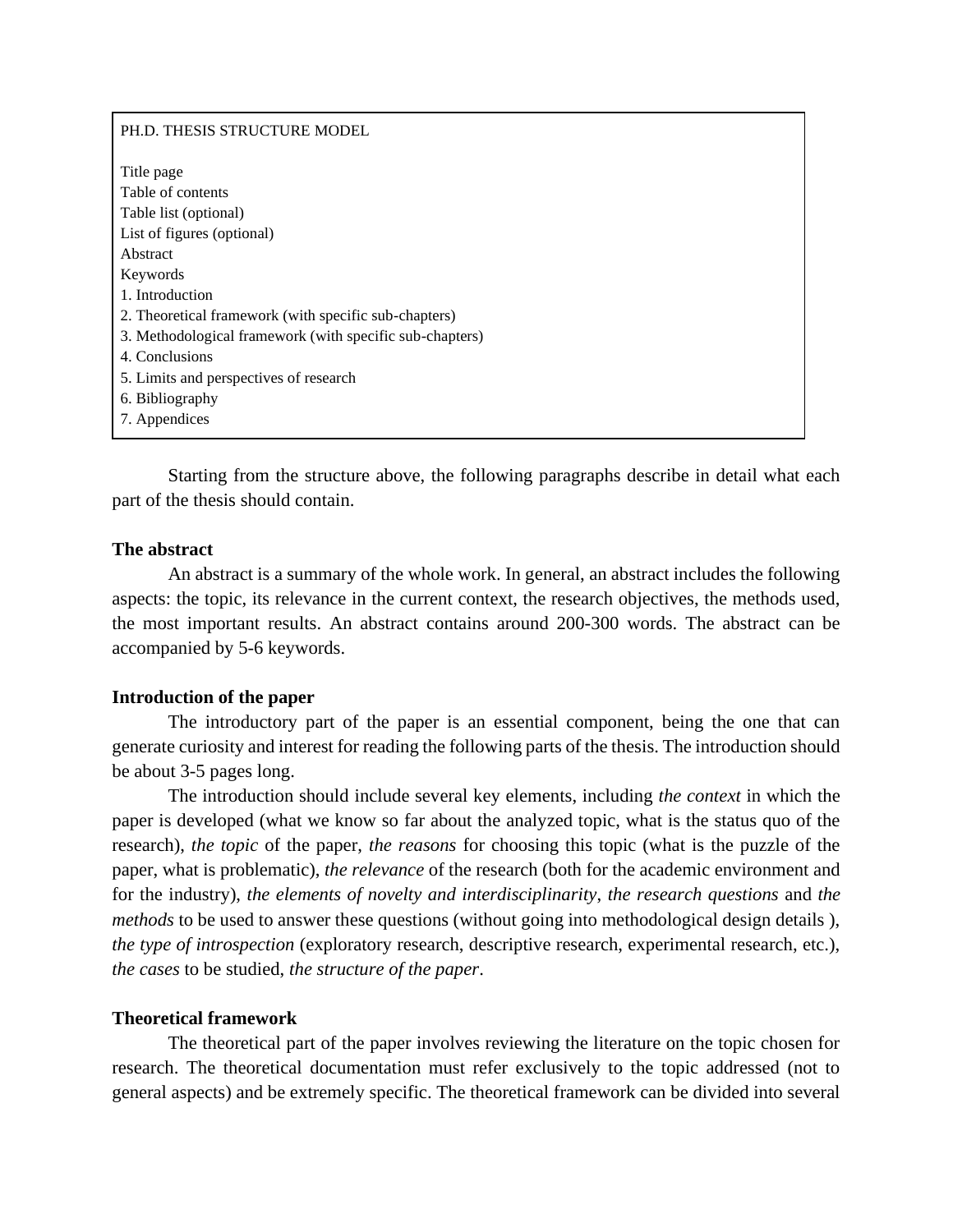#### PH.D. THESIS STRUCTURE MODEL

Title page Table of contents Table list (optional) List of figures (optional) Abstract Keywords 1. Introduction 2. Theoretical framework (with specific sub-chapters) 3. Methodological framework (with specific sub-chapters) 4. Conclusions 5. Limits and perspectives of research 6. Bibliography 7. Appendices

Starting from the structure above, the following paragraphs describe in detail what each part of the thesis should contain.

### **The abstract**

An abstract is a summary of the whole work. In general, an abstract includes the following aspects: the topic, its relevance in the current context, the research objectives, the methods used, the most important results. An abstract contains around 200-300 words. The abstract can be accompanied by 5-6 keywords.

#### **Introduction of the paper**

 The introductory part of the paper is an essential component, being the one that can generate curiosity and interest for reading the following parts of the thesis. The introduction should be about 3-5 pages long.

The introduction should include several key elements, including *the context* in which the paper is developed (what we know so far about the analyzed topic, what is the status quo of the research), *the topic* of the paper, *the reasons* for choosing this topic (what is the puzzle of the paper, what is problematic), *the relevance* of the research (both for the academic environment and for the industry), *the elements of novelty and interdisciplinarity*, *the research questions* and *the methods* to be used to answer these questions (without going into methodological design details ), *the type of introspection* (exploratory research, descriptive research, experimental research, etc.), *the cases* to be studied, *the structure of the paper*.

#### **Theoretical framework**

The theoretical part of the paper involves reviewing the literature on the topic chosen for research. The theoretical documentation must refer exclusively to the topic addressed (not to general aspects) and be extremely specific. The theoretical framework can be divided into several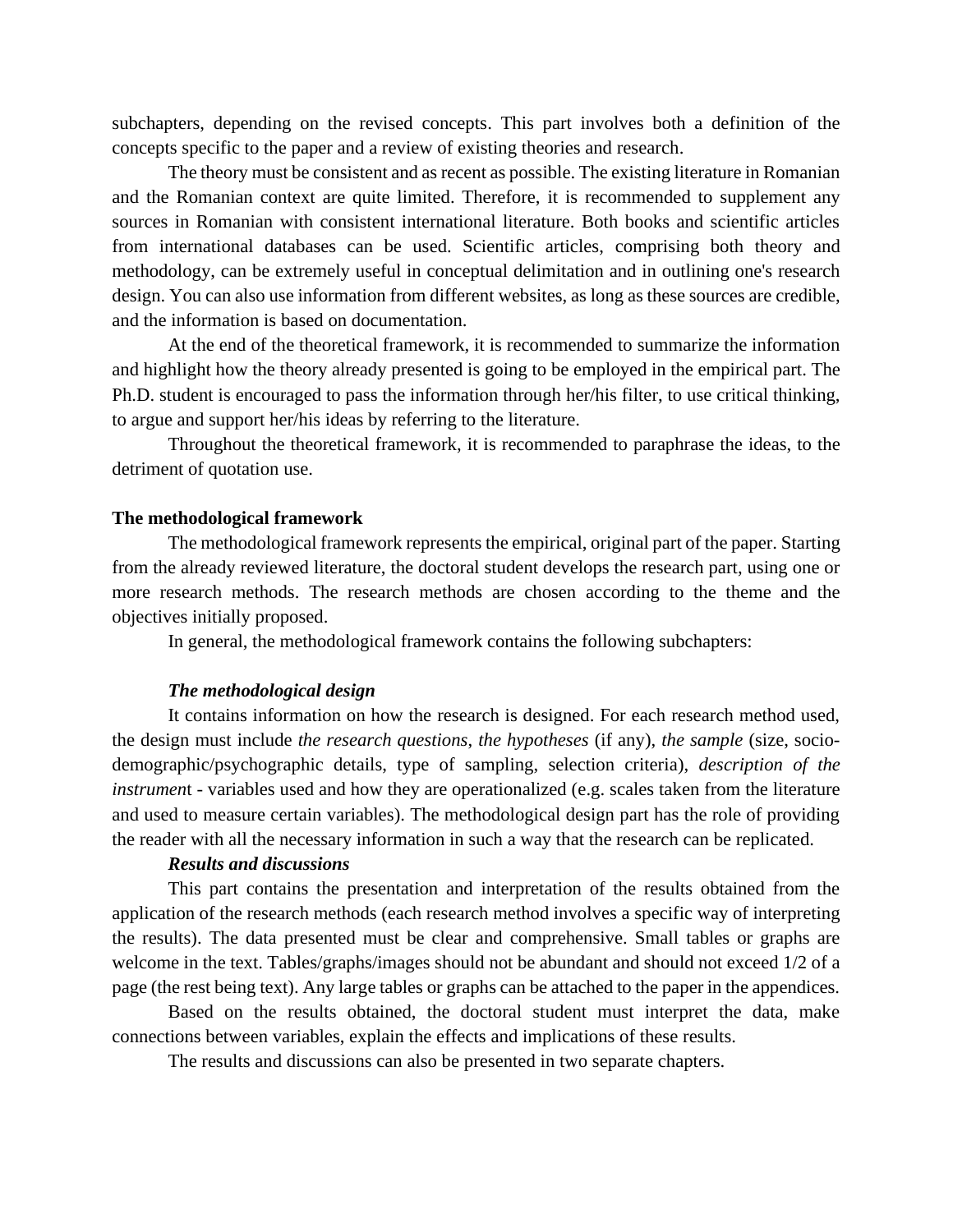subchapters, depending on the revised concepts. This part involves both a definition of the concepts specific to the paper and a review of existing theories and research.

The theory must be consistent and as recent as possible. The existing literature in Romanian and the Romanian context are quite limited. Therefore, it is recommended to supplement any sources in Romanian with consistent international literature. Both books and scientific articles from international databases can be used. Scientific articles, comprising both theory and methodology, can be extremely useful in conceptual delimitation and in outlining one's research design. You can also use information from different websites, as long as these sources are credible, and the information is based on documentation.

At the end of the theoretical framework, it is recommended to summarize the information and highlight how the theory already presented is going to be employed in the empirical part. The Ph.D. student is encouraged to pass the information through her/his filter, to use critical thinking, to argue and support her/his ideas by referring to the literature.

Throughout the theoretical framework, it is recommended to paraphrase the ideas, to the detriment of quotation use.

### **The methodological framework**

 The methodological framework represents the empirical, original part of the paper. Starting from the already reviewed literature, the doctoral student develops the research part, using one or more research methods. The research methods are chosen according to the theme and the objectives initially proposed.

In general, the methodological framework contains the following subchapters:

### *The methodological design*

It contains information on how the research is designed. For each research method used, the design must include *the research questions*, *the hypotheses* (if any), *the sample* (size, sociodemographic/psychographic details, type of sampling, selection criteria), *description of the instrumen*t - variables used and how they are operationalized (e.g. scales taken from the literature and used to measure certain variables). The methodological design part has the role of providing the reader with all the necessary information in such a way that the research can be replicated.

### *Results and discussions*

This part contains the presentation and interpretation of the results obtained from the application of the research methods (each research method involves a specific way of interpreting the results). The data presented must be clear and comprehensive. Small tables or graphs are welcome in the text. Tables/graphs/images should not be abundant and should not exceed 1/2 of a page (the rest being text). Any large tables or graphs can be attached to the paper in the appendices.

Based on the results obtained, the doctoral student must interpret the data, make connections between variables, explain the effects and implications of these results.

The results and discussions can also be presented in two separate chapters.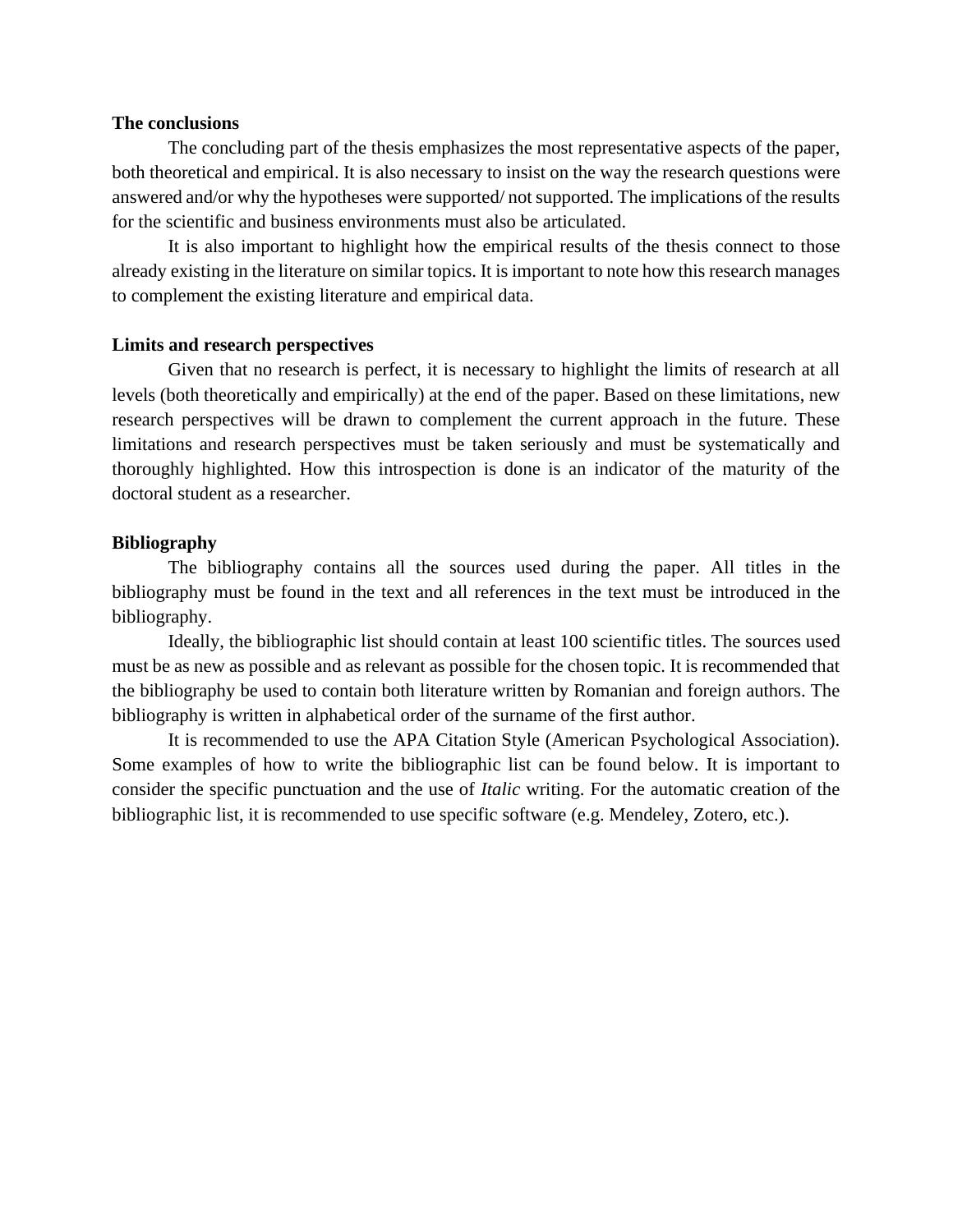## **The conclusions**

The concluding part of the thesis emphasizes the most representative aspects of the paper, both theoretical and empirical. It is also necessary to insist on the way the research questions were answered and/or why the hypotheses were supported/ not supported. The implications of the results for the scientific and business environments must also be articulated.

It is also important to highlight how the empirical results of the thesis connect to those already existing in the literature on similar topics. It is important to note how this research manages to complement the existing literature and empirical data.

#### **Limits and research perspectives**

Given that no research is perfect, it is necessary to highlight the limits of research at all levels (both theoretically and empirically) at the end of the paper. Based on these limitations, new research perspectives will be drawn to complement the current approach in the future. These limitations and research perspectives must be taken seriously and must be systematically and thoroughly highlighted. How this introspection is done is an indicator of the maturity of the doctoral student as a researcher.

### **Bibliography**

The bibliography contains all the sources used during the paper. All titles in the bibliography must be found in the text and all references in the text must be introduced in the bibliography.

Ideally, the bibliographic list should contain at least 100 scientific titles. The sources used must be as new as possible and as relevant as possible for the chosen topic. It is recommended that the bibliography be used to contain both literature written by Romanian and foreign authors. The bibliography is written in alphabetical order of the surname of the first author.

It is recommended to use the APA Citation Style (American Psychological Association). Some examples of how to write the bibliographic list can be found below. It is important to consider the specific punctuation and the use of *Italic* writing. For the automatic creation of the bibliographic list, it is recommended to use specific software (e.g. Mendeley, Zotero, etc.).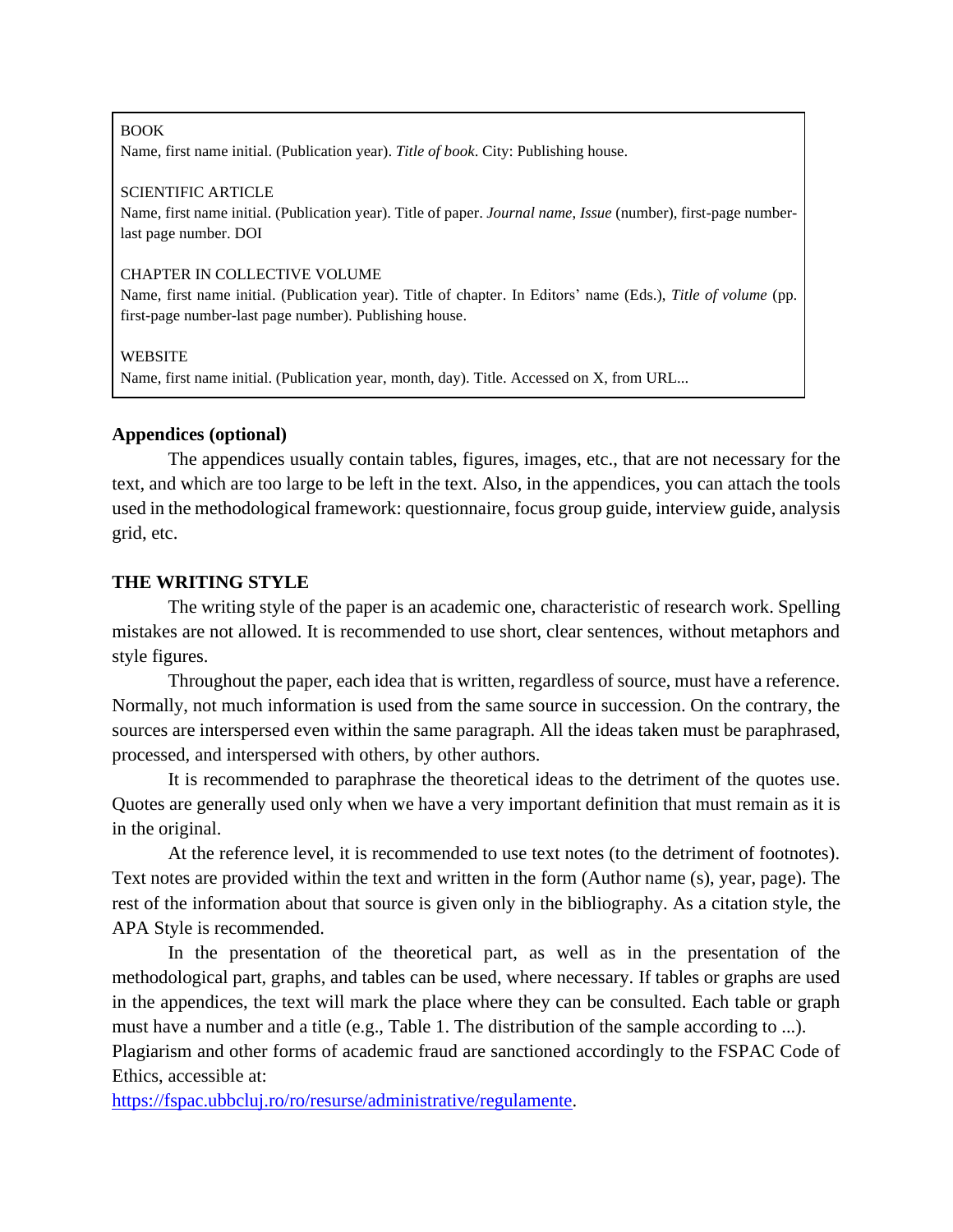#### BOOK

Name, first name initial. (Publication year). *Title of book*. City: Publishing house.

#### SCIENTIFIC ARTICLE

Name, first name initial. (Publication year). Title of paper. *Journal name*, *Issue* (number), first-page numberlast page number. DOI

### CHAPTER IN COLLECTIVE VOLUME

Name, first name initial. (Publication year). Title of chapter. In Editors' name (Eds.), *Title of volume* (pp. first-page number-last page number). Publishing house.

## **WEBSITE**

Name, first name initial. (Publication year, month, day). Title. Accessed on X, from URL...

# **Appendices (optional)**

The appendices usually contain tables, figures, images, etc., that are not necessary for the text, and which are too large to be left in the text. Also, in the appendices, you can attach the tools used in the methodological framework: questionnaire, focus group guide, interview guide, analysis grid, etc.

# **THE WRITING STYLE**

The writing style of the paper is an academic one, characteristic of research work. Spelling mistakes are not allowed. It is recommended to use short, clear sentences, without metaphors and style figures.

Throughout the paper, each idea that is written, regardless of source, must have a reference. Normally, not much information is used from the same source in succession. On the contrary, the sources are interspersed even within the same paragraph. All the ideas taken must be paraphrased, processed, and interspersed with others, by other authors.

It is recommended to paraphrase the theoretical ideas to the detriment of the quotes use. Quotes are generally used only when we have a very important definition that must remain as it is in the original.

At the reference level, it is recommended to use text notes (to the detriment of footnotes). Text notes are provided within the text and written in the form (Author name (s), year, page). The rest of the information about that source is given only in the bibliography. As a citation style, the APA Style is recommended.

In the presentation of the theoretical part, as well as in the presentation of the methodological part, graphs, and tables can be used, where necessary. If tables or graphs are used in the appendices, the text will mark the place where they can be consulted. Each table or graph must have a number and a title (e.g., Table 1. The distribution of the sample according to ...).

Plagiarism and other forms of academic fraud are sanctioned accordingly to the FSPAC Code of Ethics, accessible at:

[https://fspac.ubbcluj.ro/ro/resurse/administrative/regulamente.](https://fspac.ubbcluj.ro/ro/resurse/administrative/regulamente)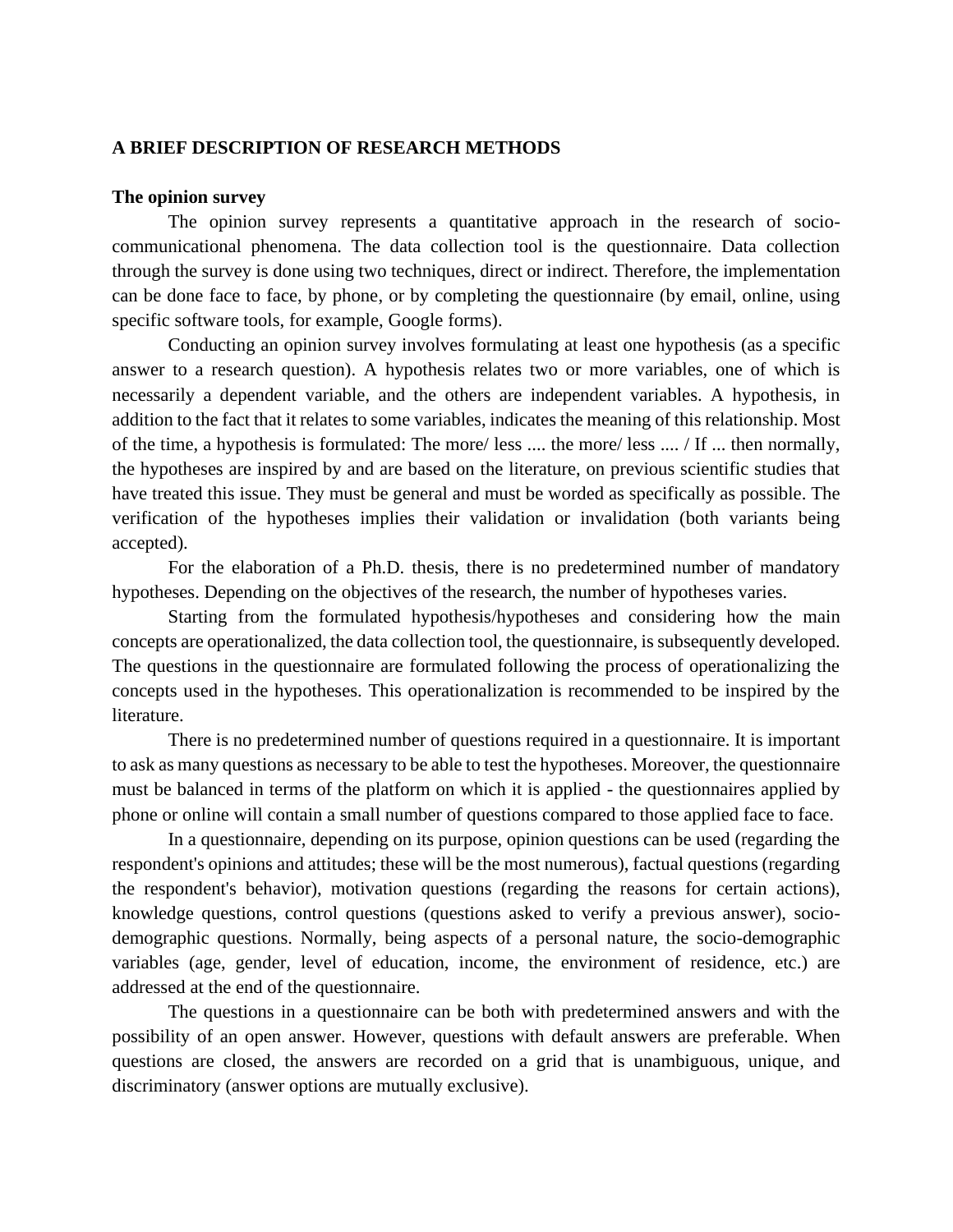## **A BRIEF DESCRIPTION OF RESEARCH METHODS**

#### **The opinion survey**

The opinion survey represents a quantitative approach in the research of sociocommunicational phenomena. The data collection tool is the questionnaire. Data collection through the survey is done using two techniques, direct or indirect. Therefore, the implementation can be done face to face, by phone, or by completing the questionnaire (by email, online, using specific software tools, for example, Google forms).

Conducting an opinion survey involves formulating at least one hypothesis (as a specific answer to a research question). A hypothesis relates two or more variables, one of which is necessarily a dependent variable, and the others are independent variables. A hypothesis, in addition to the fact that it relates to some variables, indicates the meaning of this relationship. Most of the time, a hypothesis is formulated: The more/ less .... the more/ less .... / If ... then normally, the hypotheses are inspired by and are based on the literature, on previous scientific studies that have treated this issue. They must be general and must be worded as specifically as possible. The verification of the hypotheses implies their validation or invalidation (both variants being accepted).

For the elaboration of a Ph.D. thesis, there is no predetermined number of mandatory hypotheses. Depending on the objectives of the research, the number of hypotheses varies.

Starting from the formulated hypothesis/hypotheses and considering how the main concepts are operationalized, the data collection tool, the questionnaire, is subsequently developed. The questions in the questionnaire are formulated following the process of operationalizing the concepts used in the hypotheses. This operationalization is recommended to be inspired by the literature.

There is no predetermined number of questions required in a questionnaire. It is important to ask as many questions as necessary to be able to test the hypotheses. Moreover, the questionnaire must be balanced in terms of the platform on which it is applied - the questionnaires applied by phone or online will contain a small number of questions compared to those applied face to face.

In a questionnaire, depending on its purpose, opinion questions can be used (regarding the respondent's opinions and attitudes; these will be the most numerous), factual questions (regarding the respondent's behavior), motivation questions (regarding the reasons for certain actions), knowledge questions, control questions (questions asked to verify a previous answer), sociodemographic questions. Normally, being aspects of a personal nature, the socio-demographic variables (age, gender, level of education, income, the environment of residence, etc.) are addressed at the end of the questionnaire.

The questions in a questionnaire can be both with predetermined answers and with the possibility of an open answer. However, questions with default answers are preferable. When questions are closed, the answers are recorded on a grid that is unambiguous, unique, and discriminatory (answer options are mutually exclusive).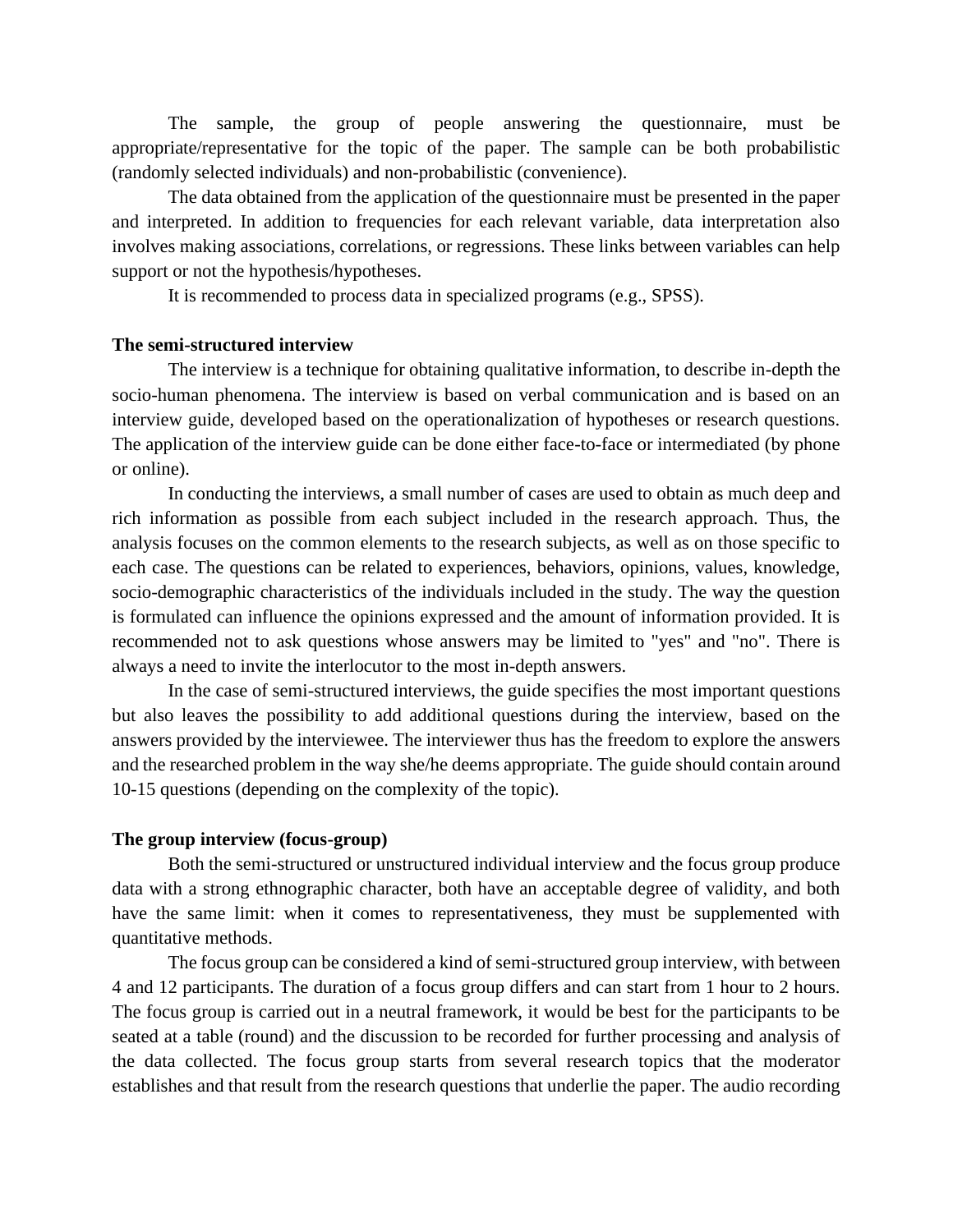The sample, the group of people answering the questionnaire, must be appropriate/representative for the topic of the paper. The sample can be both probabilistic (randomly selected individuals) and non-probabilistic (convenience).

The data obtained from the application of the questionnaire must be presented in the paper and interpreted. In addition to frequencies for each relevant variable, data interpretation also involves making associations, correlations, or regressions. These links between variables can help support or not the hypothesis/hypotheses.

It is recommended to process data in specialized programs (e.g., SPSS).

## **The semi-structured interview**

The interview is a technique for obtaining qualitative information, to describe in-depth the socio-human phenomena. The interview is based on verbal communication and is based on an interview guide, developed based on the operationalization of hypotheses or research questions. The application of the interview guide can be done either face-to-face or intermediated (by phone or online).

In conducting the interviews, a small number of cases are used to obtain as much deep and rich information as possible from each subject included in the research approach. Thus, the analysis focuses on the common elements to the research subjects, as well as on those specific to each case. The questions can be related to experiences, behaviors, opinions, values, knowledge, socio-demographic characteristics of the individuals included in the study. The way the question is formulated can influence the opinions expressed and the amount of information provided. It is recommended not to ask questions whose answers may be limited to "yes" and "no". There is always a need to invite the interlocutor to the most in-depth answers.

In the case of semi-structured interviews, the guide specifies the most important questions but also leaves the possibility to add additional questions during the interview, based on the answers provided by the interviewee. The interviewer thus has the freedom to explore the answers and the researched problem in the way she/he deems appropriate. The guide should contain around 10-15 questions (depending on the complexity of the topic).

## **The group interview (focus-group)**

Both the semi-structured or unstructured individual interview and the focus group produce data with a strong ethnographic character, both have an acceptable degree of validity, and both have the same limit: when it comes to representativeness, they must be supplemented with quantitative methods.

The focus group can be considered a kind of semi-structured group interview, with between 4 and 12 participants. The duration of a focus group differs and can start from 1 hour to 2 hours. The focus group is carried out in a neutral framework, it would be best for the participants to be seated at a table (round) and the discussion to be recorded for further processing and analysis of the data collected. The focus group starts from several research topics that the moderator establishes and that result from the research questions that underlie the paper. The audio recording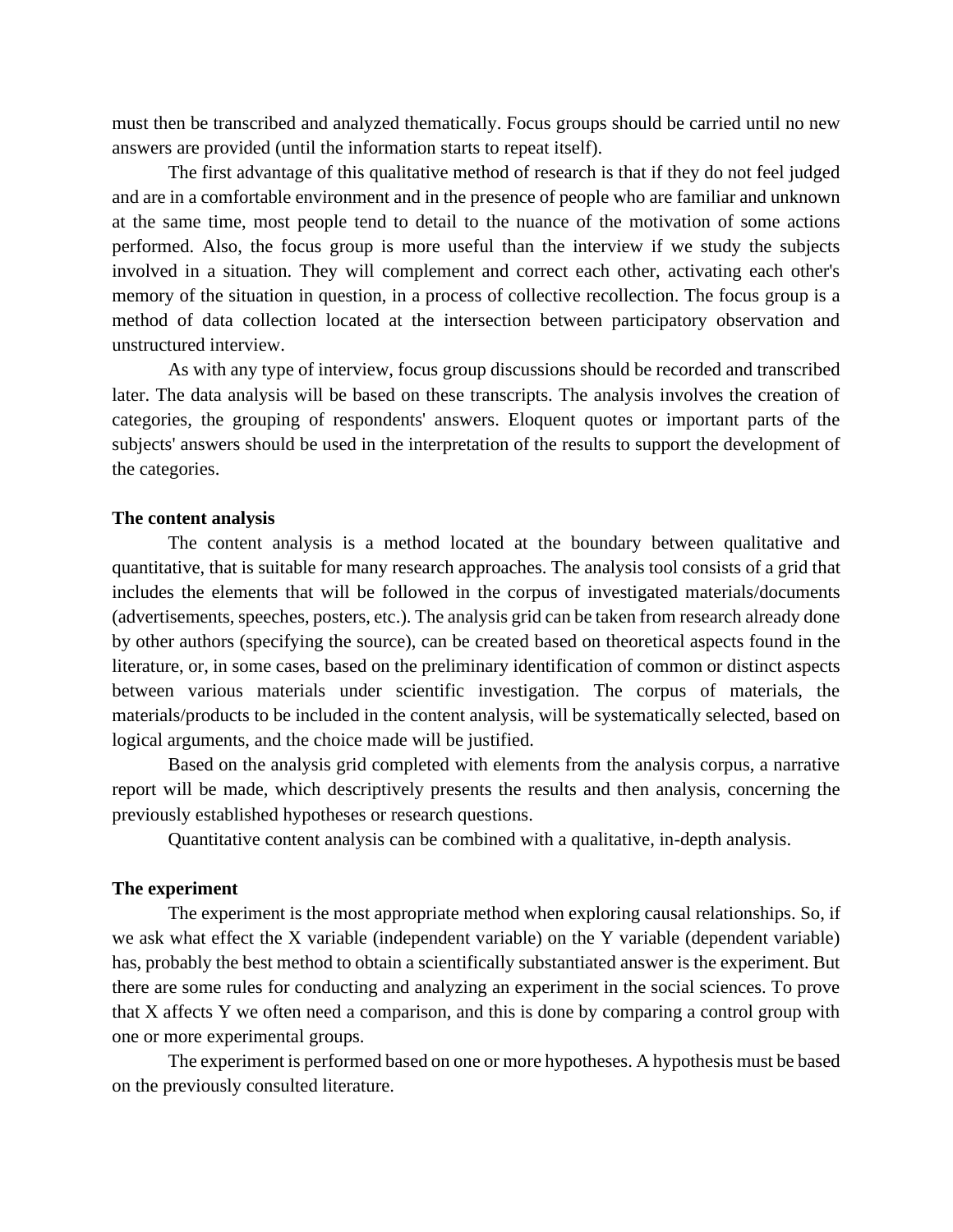must then be transcribed and analyzed thematically. Focus groups should be carried until no new answers are provided (until the information starts to repeat itself).

The first advantage of this qualitative method of research is that if they do not feel judged and are in a comfortable environment and in the presence of people who are familiar and unknown at the same time, most people tend to detail to the nuance of the motivation of some actions performed. Also, the focus group is more useful than the interview if we study the subjects involved in a situation. They will complement and correct each other, activating each other's memory of the situation in question, in a process of collective recollection. The focus group is a method of data collection located at the intersection between participatory observation and unstructured interview.

As with any type of interview, focus group discussions should be recorded and transcribed later. The data analysis will be based on these transcripts. The analysis involves the creation of categories, the grouping of respondents' answers. Eloquent quotes or important parts of the subjects' answers should be used in the interpretation of the results to support the development of the categories.

#### **The content analysis**

The content analysis is a method located at the boundary between qualitative and quantitative, that is suitable for many research approaches. The analysis tool consists of a grid that includes the elements that will be followed in the corpus of investigated materials/documents (advertisements, speeches, posters, etc.). The analysis grid can be taken from research already done by other authors (specifying the source), can be created based on theoretical aspects found in the literature, or, in some cases, based on the preliminary identification of common or distinct aspects between various materials under scientific investigation. The corpus of materials, the materials/products to be included in the content analysis, will be systematically selected, based on logical arguments, and the choice made will be justified.

Based on the analysis grid completed with elements from the analysis corpus, a narrative report will be made, which descriptively presents the results and then analysis, concerning the previously established hypotheses or research questions.

Quantitative content analysis can be combined with a qualitative, in-depth analysis.

## **The experiment**

The experiment is the most appropriate method when exploring causal relationships. So, if we ask what effect the X variable (independent variable) on the Y variable (dependent variable) has, probably the best method to obtain a scientifically substantiated answer is the experiment. But there are some rules for conducting and analyzing an experiment in the social sciences. To prove that X affects Y we often need a comparison, and this is done by comparing a control group with one or more experimental groups.

The experiment is performed based on one or more hypotheses. A hypothesis must be based on the previously consulted literature.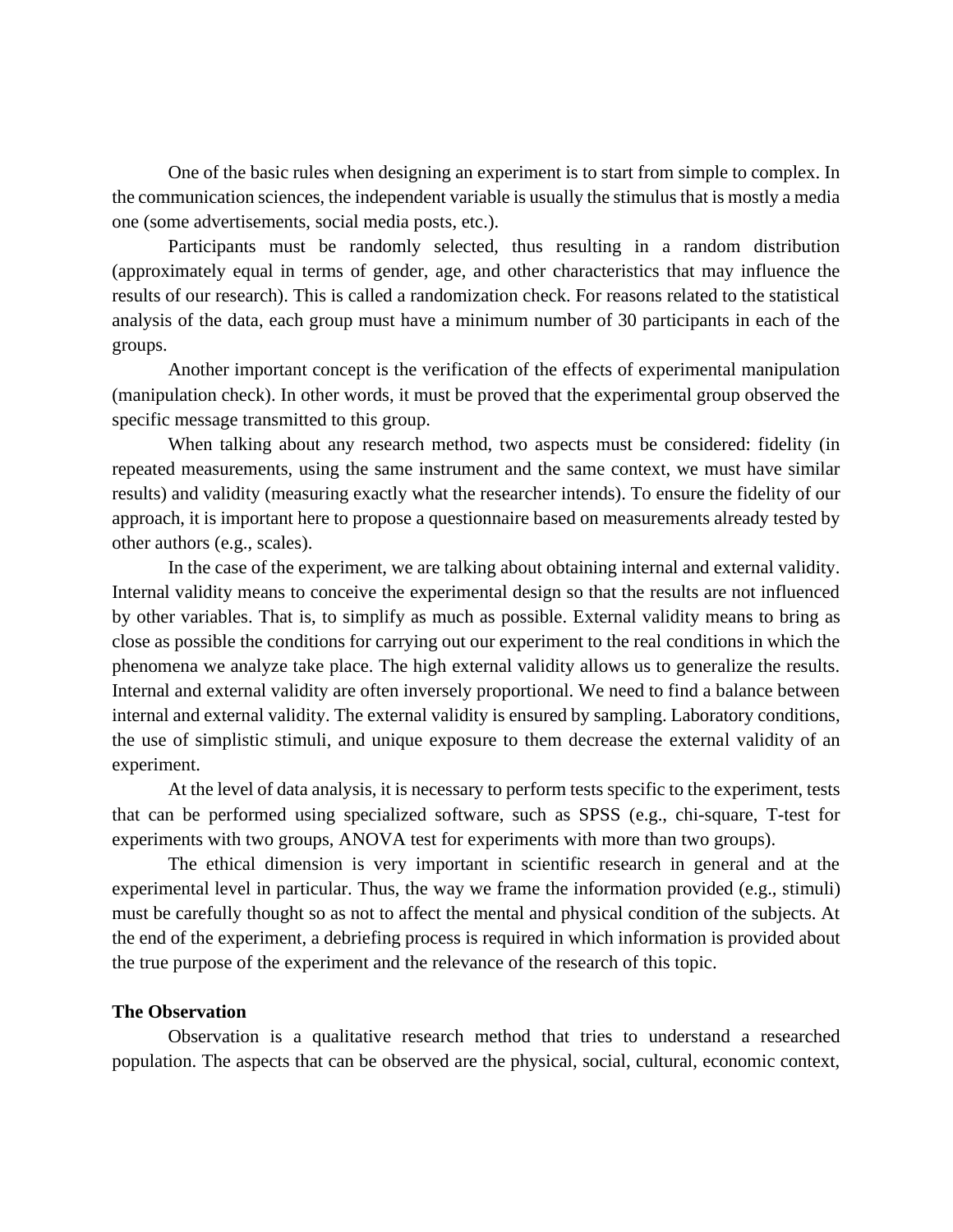One of the basic rules when designing an experiment is to start from simple to complex. In the communication sciences, the independent variable is usually the stimulus that is mostly a media one (some advertisements, social media posts, etc.).

Participants must be randomly selected, thus resulting in a random distribution (approximately equal in terms of gender, age, and other characteristics that may influence the results of our research). This is called a randomization check. For reasons related to the statistical analysis of the data, each group must have a minimum number of 30 participants in each of the groups.

Another important concept is the verification of the effects of experimental manipulation (manipulation check). In other words, it must be proved that the experimental group observed the specific message transmitted to this group.

When talking about any research method, two aspects must be considered: fidelity (in repeated measurements, using the same instrument and the same context, we must have similar results) and validity (measuring exactly what the researcher intends). To ensure the fidelity of our approach, it is important here to propose a questionnaire based on measurements already tested by other authors (e.g., scales).

In the case of the experiment, we are talking about obtaining internal and external validity. Internal validity means to conceive the experimental design so that the results are not influenced by other variables. That is, to simplify as much as possible. External validity means to bring as close as possible the conditions for carrying out our experiment to the real conditions in which the phenomena we analyze take place. The high external validity allows us to generalize the results. Internal and external validity are often inversely proportional. We need to find a balance between internal and external validity. The external validity is ensured by sampling. Laboratory conditions, the use of simplistic stimuli, and unique exposure to them decrease the external validity of an experiment.

At the level of data analysis, it is necessary to perform tests specific to the experiment, tests that can be performed using specialized software, such as SPSS (e.g., chi-square, T-test for experiments with two groups, ANOVA test for experiments with more than two groups).

The ethical dimension is very important in scientific research in general and at the experimental level in particular. Thus, the way we frame the information provided (e.g., stimuli) must be carefully thought so as not to affect the mental and physical condition of the subjects. At the end of the experiment, a debriefing process is required in which information is provided about the true purpose of the experiment and the relevance of the research of this topic.

#### **The Observation**

Observation is a qualitative research method that tries to understand a researched population. The aspects that can be observed are the physical, social, cultural, economic context,